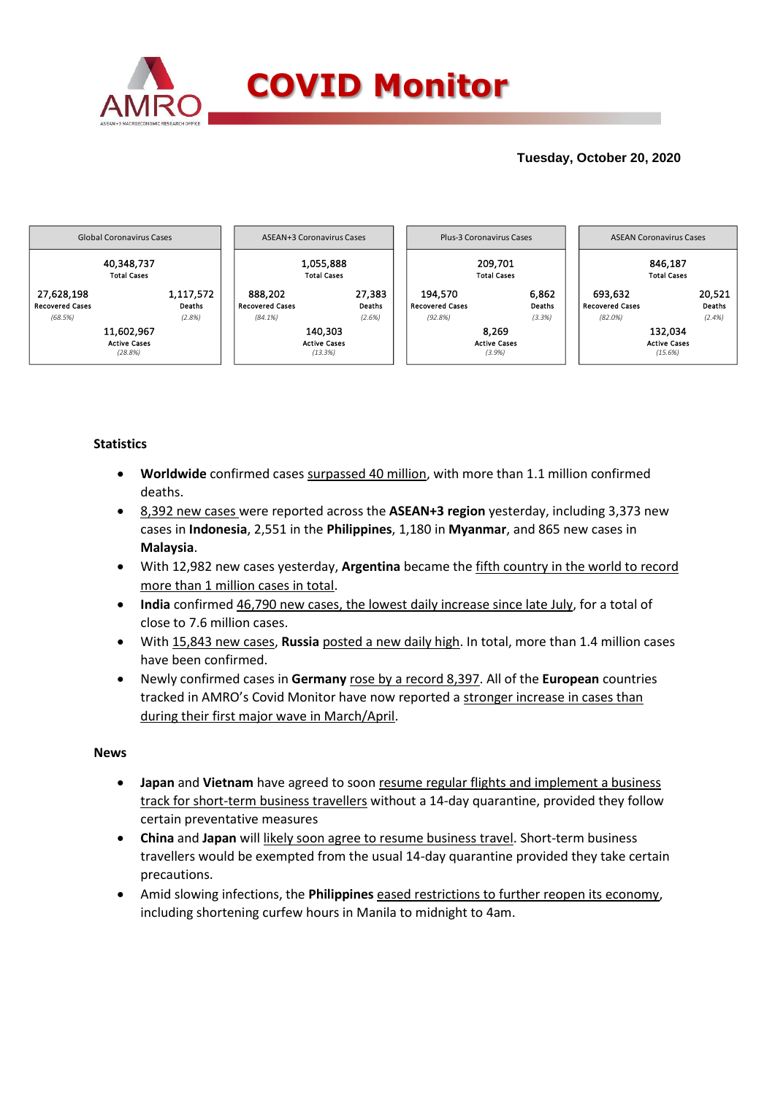

## **Tuesday, October 20, 2020**



### **Statistics**

- **Worldwide** confirmed cases surpassed 40 million, with more than 1.1 million confirmed deaths.
- 8,392 new cases were reported across the **ASEAN+3 region** yesterday, including 3,373 new cases in **Indonesia**, 2,551 in the **Philippines**, 1,180 in **Myanmar**, and 865 new cases in **Malaysia**.
- With 12,982 new cases yesterday, **Argentina** became the fifth country in the world to record more than 1 million cases in total.
- **India** confirmed 46,790 new cases, the lowest daily increase since late July, for a total of close to 7.6 million cases.
- With 15,843 new cases, **Russia** posted a new daily high. In total, more than 1.4 million cases have been confirmed.
- Newly confirmed cases in **Germany** rose by a record 8,397. All of the **European** countries tracked in AMRO's Covid Monitor have now reported a stronger increase in cases than during their first major wave in March/April.

### **News**

- **Japan** and **Vietnam** have agreed to soon resume regular flights and implement a business track for short-term business travellers without a 14-day quarantine, provided they follow certain preventative measures
- **China** and **Japan** will likely soon agree to resume business travel. Short-term business travellers would be exempted from the usual 14-day quarantine provided they take certain precautions.
- Amid slowing infections, the **Philippines** eased restrictions to further reopen its economy, including shortening curfew hours in Manila to midnight to 4am.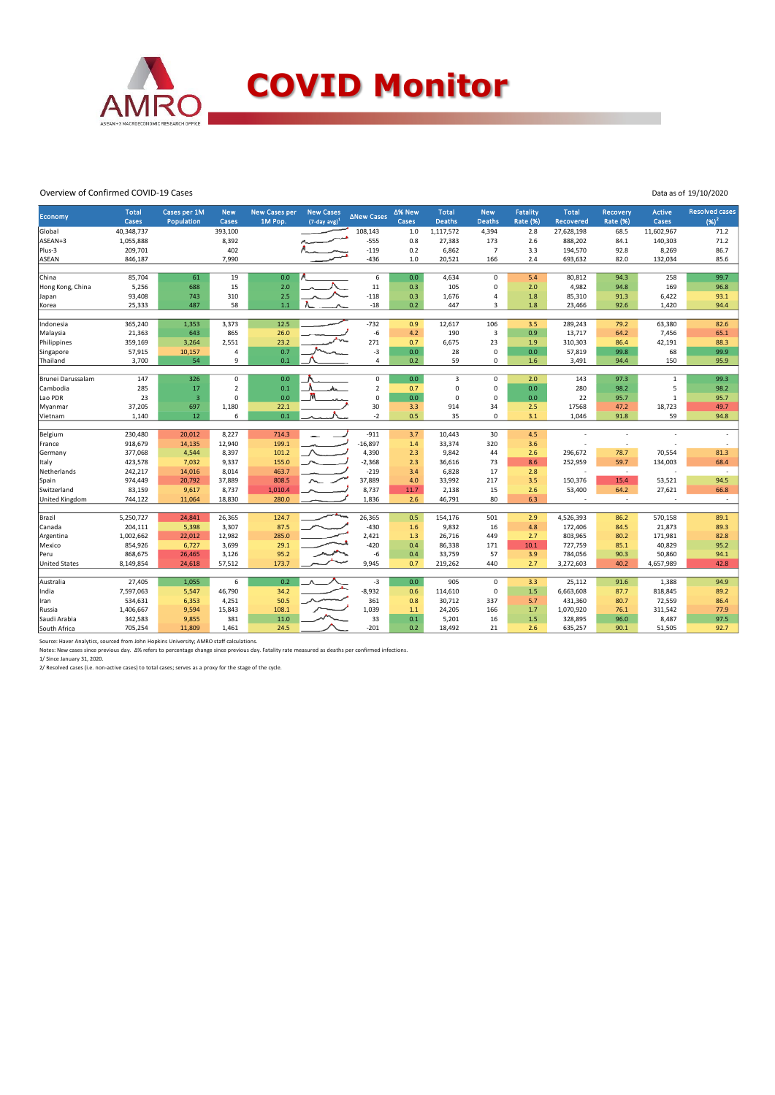

#### Overview of Confirmed COVID-19 Cases

| Data as of 19/10/2020 |  |
|-----------------------|--|
|                       |  |

|                               | <b>Total</b>      |                            |                         |                                 |                                        |                   | Δ% New      |                               |                             |                             |                           |                             |                 | <b>Resolved cases</b>    |
|-------------------------------|-------------------|----------------------------|-------------------------|---------------------------------|----------------------------------------|-------------------|-------------|-------------------------------|-----------------------------|-----------------------------|---------------------------|-----------------------------|-----------------|--------------------------|
| Economy                       | Cases             | Cases per 1M<br>Population | <b>New</b><br>Cases     | <b>New Cases per</b><br>1M Pop. | <b>New Cases</b><br>$(7$ -day avg) $1$ | <b>ANew Cases</b> | Cases       | <b>Total</b><br><b>Deaths</b> | <b>New</b><br><b>Deaths</b> | Fatality<br><b>Rate (%)</b> | <b>Total</b><br>Recovered | <b>Recovery</b><br>Rate (%) | Active<br>Cases | $(96)^2$                 |
| Global                        | 40,348,737        |                            | 393,100                 |                                 |                                        | 108,143           | 1.0         | 1,117,572                     | 4,394                       | 2.8                         | 27,628,198                | 68.5                        | 11,602,967      | 71.2                     |
| ASEAN+3                       | 1,055,888         |                            | 8,392                   |                                 |                                        | $-555$            | 0.8         | 27,383                        | 173                         | 2.6                         | 888,202                   | 84.1                        | 140,303         | 71.2                     |
| Plus-3                        | 209,701           |                            | 402                     |                                 |                                        | $-119$            | 0.2         | 6,862                         | $\overline{7}$              | 3.3                         | 194,570                   | 92.8                        | 8,269           | 86.7                     |
| <b>ASEAN</b>                  | 846,187           |                            | 7,990                   |                                 |                                        | $-436$            | 1.0         | 20,521                        | 166                         | 2.4                         | 693,632                   | 82.0                        | 132,034         | 85.6                     |
|                               |                   |                            |                         |                                 |                                        |                   |             |                               |                             |                             |                           |                             |                 |                          |
| China                         | 85,704            | 61                         | 19                      | 0.0                             |                                        | 6                 | 0.0         | 4,634                         | $\Omega$                    | 5.4                         | 80,812                    | 94.3                        | 258             | 99.7                     |
| Hong Kong, China              | 5,256             | 688                        | 15                      | 2.0                             |                                        | $11\,$            | 0.3         | 105                           | 0                           | 2.0                         | 4,982                     | 94.8                        | 169             | 96.8                     |
| Japan                         | 93,408            | 743                        | 310                     | 2.5                             |                                        | $-118$            | 0.3         | 1,676                         | 4                           | 1.8                         | 85,310                    | 91.3                        | 6,422           | 93.1                     |
| Korea                         | 25,333            | 487                        | 58                      | $1.1\,$                         |                                        | $-18$             | 0.2         | 447                           | 3                           | 1.8                         | 23,466                    | 92.6                        | 1,420           | 94.4                     |
|                               |                   |                            |                         |                                 |                                        |                   |             |                               |                             |                             |                           |                             |                 |                          |
| Indonesia                     | 365,240           | 1,353                      | 3,373                   | 12.5                            |                                        | $-732$            | 0.9         | 12,617                        | 106                         | 3.5<br>0.9                  | 289,243                   | 79.2                        | 63,380          | 82.6                     |
| Malaysia                      | 21,363            | 643                        | 865                     | 26.0<br>23.2                    |                                        | $-6$<br>271       | 4.2         | 190                           | 3<br>23                     |                             | 13,717                    | 64.2<br>86.4                | 7,456<br>42,191 | 65.1<br>88.3             |
| Philippines<br>Singapore      | 359,169<br>57,915 | 3,264<br>10,157            | 2,551<br>$\overline{a}$ | 0.7                             |                                        | $-3$              | 0.7<br>0.0  | 6,675<br>28                   | $\mathbf 0$                 | 1.9<br>0.0                  | 310,303<br>57,819         | 99.8                        | 68              | 99.9                     |
| Thailand                      | 3,700             | 54                         | 9                       | 0.1                             |                                        | $\pmb{4}$         | 0.2         | 59                            | 0                           | 1.6                         | 3,491                     | 94.4                        | 150             | 95.9                     |
|                               |                   |                            |                         |                                 |                                        |                   |             |                               |                             |                             |                           |                             |                 |                          |
| Brunei Darussalam             | 147               | 326                        | $\mathbf 0$             | 0.0                             |                                        | $\mathsf 0$       | 0.0         | $\overline{3}$                | 0                           | 2.0                         | 143                       | 97.3                        | $\mathbf 1$     | 99.3                     |
| Cambodia                      | 285               | 17                         | $\overline{2}$          | 0.1                             | ሔ                                      | $\overline{2}$    | 0.7         | $\mathbf 0$                   | 0                           | 0.0                         | 280                       | 98.2                        | 5               | 98.2                     |
| Lao PDR                       | 23                | $\overline{\mathbf{3}}$    | $\Omega$                | 0.0                             |                                        | 0                 | 0.0         | $\mathbf 0$                   | 0                           | 0.0 <sub>1</sub>            | 22                        | 95.7                        | $\mathbf{1}$    | 95.7                     |
| Myanmar                       | 37,205            | 697                        | 1,180                   | 22.1                            |                                        | 30                | 3.3         | 914                           | 34                          | 2.5                         | 17568                     | 47.2                        | 18,723          | 49.7                     |
| Vietnam                       | 1,140             | 12                         | 6                       | 0.1                             |                                        | $-2$              | 0.5         | 35                            | 0                           | 3.1                         | 1,046                     | 91.8                        | 59              | 94.8                     |
|                               |                   |                            |                         |                                 |                                        |                   |             |                               |                             |                             |                           |                             |                 |                          |
| Belgium                       | 230,480           | 20,012                     | 8,227                   | 714.3                           |                                        | $-911$            | 3.7         | 10,443                        | 30                          | 4.5                         |                           | ٠                           |                 | $\sim$                   |
| France                        | 918,679           | 14,135                     | 12,940                  | 199.1                           |                                        | $-16,897$         | 1.4         | 33,374                        | 320                         | 3.6                         |                           |                             |                 | $\sim$                   |
| Germany                       | 377,068           | 4,544                      | 8,397                   | 101.2                           |                                        | 4,390             | 2.3         | 9,842                         | 44                          | 2.6                         | 296,672                   | 78.7                        | 70,554          | 81.3                     |
| Italy                         | 423,578           | 7,032                      | 9,337                   | 155.0                           |                                        | $-2,368$          | 2.3         | 36,616                        | 73                          | 8.6                         | 252,959                   | 59.7                        | 134,003         | 68.4                     |
| Netherlands                   | 242,217           | 14,016                     | 8,014                   | 463.7                           |                                        | $-219$            | 3.4         | 6,828                         | 17                          | 2.8                         |                           | $\overline{\phantom{a}}$    |                 | $\overline{\phantom{a}}$ |
| Spain                         | 974,449           | 20,792                     | 37,889                  | 808.5                           |                                        | 37,889            | 4.0         | 33,992                        | 217                         | 3.5                         | 150,376                   | 15.4                        | 53,521          | 94.5                     |
| Switzerland<br>United Kingdom | 83,159<br>744,122 | 9,617<br>11,064            | 8,737<br>18,830         | 1,010.4<br>280.0                |                                        | 8,737<br>1,836    | 11.7<br>2.6 | 2,138<br>46,791               | 15<br>80                    | 2.6<br>6.3                  | 53,400<br>÷,              | 64.2<br>$\overline{a}$      | 27,621          | 66.8<br>$\sim$           |
|                               |                   |                            |                         |                                 |                                        |                   |             |                               |                             |                             |                           |                             |                 |                          |
| Brazil                        | 5,250,727         | 24,841                     | 26,365                  | 124.7                           |                                        | 26,365            | 0.5         | 154,176                       | 501                         | 2.9                         | 4,526,393                 | 86.2                        | 570,158         | 89.1                     |
| Canada                        | 204,111           | 5,398                      | 3,307                   | 87.5                            |                                        | $-430$            | 1.6         | 9,832                         | 16                          | 4.8                         | 172,406                   | 84.5                        | 21,873          | 89.3                     |
| Argentina                     | 1,002,662         | 22,012                     | 12,982                  | 285.0                           |                                        | 2,421             | 1.3         | 26,716                        | 449                         | 2.7                         | 803,965                   | 80.2                        | 171,981         | 82.8                     |
| Mexico                        | 854,926           | 6,727                      | 3,699                   | 29.1                            |                                        | $-420$            | 0.4         | 86,338                        | 171                         | 10.1                        | 727,759                   | 85.1                        | 40,829          | 95.2                     |
| Peru                          | 868,675           | 26,465                     | 3,126                   | 95.2                            |                                        | $-6$              | 0.4         | 33,759                        | 57                          | 3.9                         | 784,056                   | 90.3                        | 50,860          | 94.1                     |
| <b>United States</b>          | 8,149,854         | 24,618                     | 57,512                  | 173.7                           |                                        | 9,945             | 0.7         | 219,262                       | 440                         | 2.7                         | 3,272,603                 | 40.2                        | 4,657,989       | 42.8                     |
|                               |                   |                            |                         |                                 |                                        |                   |             |                               |                             |                             |                           |                             |                 |                          |
| Australia                     | 27,405            | 1,055                      | 6                       | 0.2 <sup>2</sup>                |                                        | $-3$              | 0.0         | 905                           | $\mathsf 0$                 | 3.3                         | 25,112                    | 91.6                        | 1,388           | 94.9                     |
| India                         | 7,597,063         | 5,547                      | 46,790                  | 34.2                            |                                        | $-8,932$          | 0.6         | 114,610                       | $\mathsf 0$                 | 1.5                         | 6,663,608                 | 87.7                        | 818,845         | 89.2                     |
| Iran                          | 534,631           | 6,353                      | 4,251                   | 50.5                            |                                        | 361               | 0.8         | 30,712                        | 337                         | 5.7                         | 431,360                   | 80.7                        | 72,559          | 86.4                     |
| Russia                        | 1,406,667         | 9,594                      | 15,843                  | 108.1                           |                                        | 1,039             | $1.1$       | 24,205                        | 166                         | 1.7                         | 1,070,920                 | 76.1                        | 311,542         | 77.9                     |
| Saudi Arabia                  | 342,583           | 9,855                      | 381                     | 11.0                            |                                        | 33                | 0.1         | 5,201                         | 16                          | 1.5                         | 328,895                   | 96.0                        | 8,487           | 97.5                     |
| South Africa                  | 705,254           | 11,809                     | 1,461                   | 24.5                            |                                        | $-201$            | 0.2         | 18,492                        | 21                          | 2.6                         | 635,257                   | 90.1                        | 51,505          | 92.7                     |

Source: Haver Analytics, sourced from John Hopkins University; AMRO staff calculations.<br>Notes: New cases since previous day. ∆% refers to percentage change since previous day. Fatality rate measured as deaths per confirmed